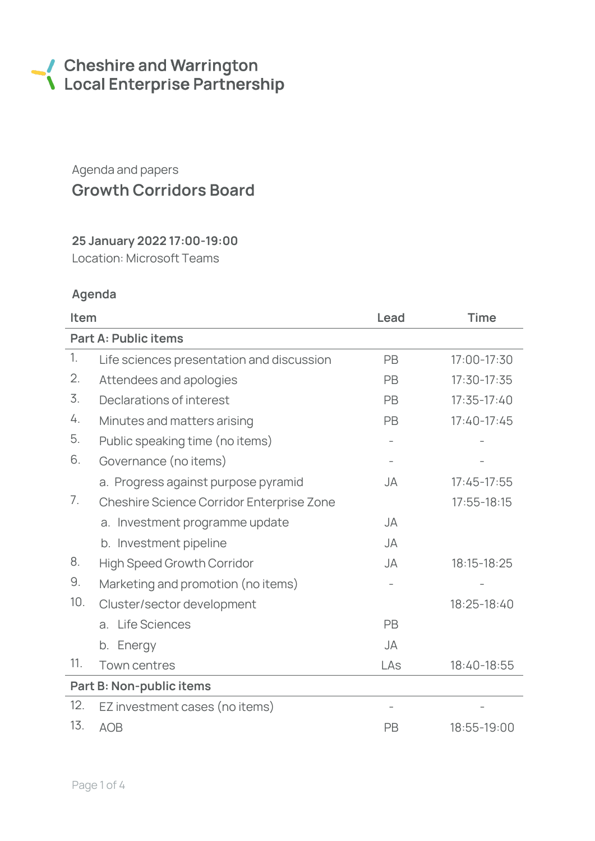# Cheshire and Warrington<br>
Local Enterprise Partnership

# Agenda and papers Growth Corridors Board

## 25 January 2022 17:00-19:00

Location: Microsoft Teams

## Agenda

| Item                        |                                           | Lead      | <b>Time</b>     |  |  |
|-----------------------------|-------------------------------------------|-----------|-----------------|--|--|
| <b>Part A: Public items</b> |                                           |           |                 |  |  |
| 1.                          | Life sciences presentation and discussion | PB        | 17:00-17:30     |  |  |
| 2.                          | Attendees and apologies                   | PB        | $17:30-17:35$   |  |  |
| 3.                          | Declarations of interest                  | PB        | $17:35 - 17:40$ |  |  |
| 4.                          | Minutes and matters arising               | <b>PB</b> | $17:40-17:45$   |  |  |
| 5.                          | Public speaking time (no items)           |           |                 |  |  |
| 6.                          | Governance (no items)                     |           |                 |  |  |
|                             | a. Progress against purpose pyramid       | JA        | $17:45 - 17:55$ |  |  |
| 7.                          | Cheshire Science Corridor Enterprise Zone |           | $17:55 - 18:15$ |  |  |
|                             | a. Investment programme update            | JA        |                 |  |  |
|                             | b. Investment pipeline                    | JA        |                 |  |  |
| 8.                          | <b>High Speed Growth Corridor</b>         | <b>JA</b> | 18:15-18:25     |  |  |
| 9.                          | Marketing and promotion (no items)        |           |                 |  |  |
| 10.                         | Cluster/sector development                |           | 18:25-18:40     |  |  |
|                             | <b>Life Sciences</b><br>a.                | PB        |                 |  |  |
|                             | b. Energy                                 | <b>JA</b> |                 |  |  |
| 11.                         | Town centres                              | LAs       | 18:40-18:55     |  |  |
| Part B: Non-public items    |                                           |           |                 |  |  |
| 12.                         | EZ investment cases (no items)            |           |                 |  |  |
| 13.                         | <b>AOB</b>                                | PB        | 18:55-19:00     |  |  |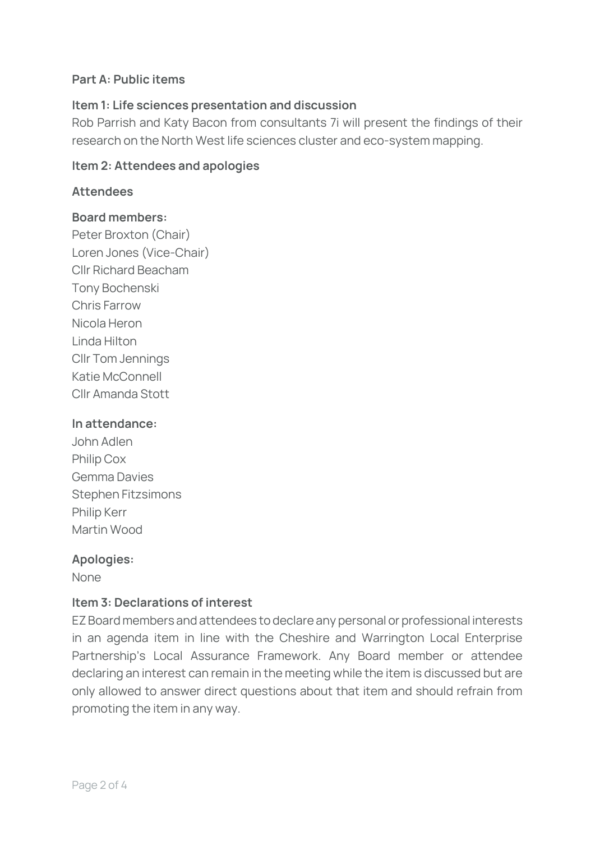#### Part A: Public items

#### Item 1: Life sciences presentation and discussion

Rob Parrish and Katy Bacon from consultants 7i will present the findings of their research on the North West life sciences cluster and eco-system mapping.

#### Item 2: Attendees and apologies

#### **Attendees**

#### Board members:

Peter Broxton (Chair) Loren Jones (Vice-Chair) Cllr Richard Beacham Tony Bochenski Chris Farrow Nicola Heron Linda Hilton Cllr Tom Jennings Katie McConnell Cllr Amanda Stott

#### In attendance:

John Adlen Philip Cox Gemma Davies Stephen Fitzsimons Philip Kerr Martin Wood

#### Apologies:

None

#### Item 3: Declarations of interest

EZ Board members and attendees to declare any personal or professional interests in an agenda item in line with the Cheshire and Warrington Local Enterprise Partnership's Local Assurance Framework. Any Board member or attendee declaring an interest can remain in the meeting while the item is discussed but are only allowed to answer direct questions about that item and should refrain from promoting the item in any way.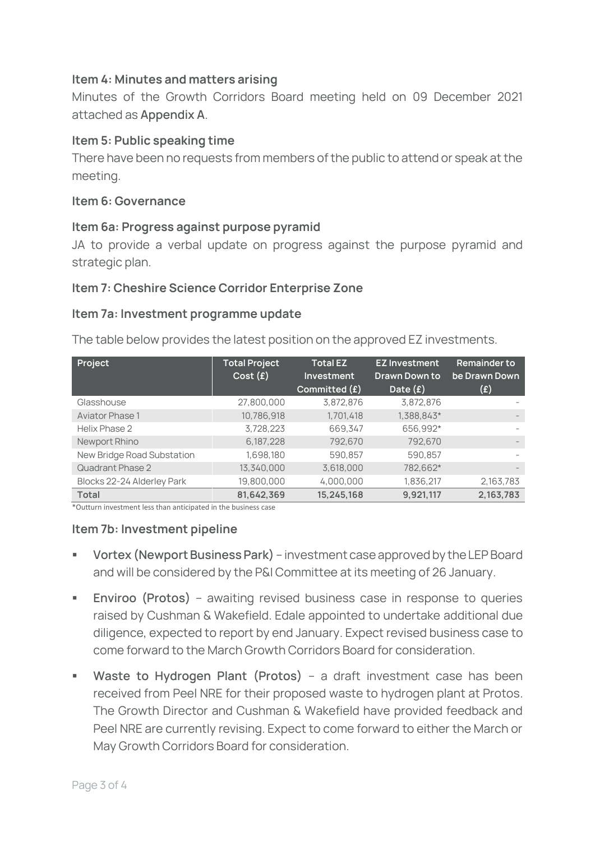#### Item 4: Minutes and matters arising

Minutes of the Growth Corridors Board meeting held on 09 December 2021 attached as **Appendix A**.

#### Item 5: Public speaking time

There have been no requests from members of the public to attend or speak at the meeting.

#### Item 6: Governance

#### Item 6a: Progress against purpose pyramid

JA to provide a verbal update on progress against the purpose pyramid and strategic plan.

#### Item 7: Cheshire Science Corridor Enterprise Zone

#### Item 7a: Investment programme update

The table below provides the latest position on the approved EZ investments.

| Project                    | <b>Total Project</b><br>Cost(f) | <b>Total EZ</b><br>Investment<br>Committed (f) | <b>EZ Investment</b><br><b>Drawn Down to</b><br>Date $(f)$ | <b>Remainder to</b><br>be Drawn Down<br>$(\texttt{f})$ |
|----------------------------|---------------------------------|------------------------------------------------|------------------------------------------------------------|--------------------------------------------------------|
| Glasshouse                 | 27,800,000                      | 3,872,876                                      | 3,872,876                                                  |                                                        |
| <b>Aviator Phase 1</b>     | 10,786,918                      | 1,701,418                                      | 1,388,843*                                                 |                                                        |
| Helix Phase 2              | 3,728,223                       | 669,347                                        | 656,992*                                                   |                                                        |
| Newport Rhino              | 6,187,228                       | 792,670                                        | 792,670                                                    | $\qquad \qquad -$                                      |
| New Bridge Road Substation | 1,698,180                       | 590,857                                        | 590,857                                                    |                                                        |
| Quadrant Phase 2           | 13,340,000                      | 3,618,000                                      | 782,662*                                                   |                                                        |
| Blocks 22-24 Alderley Park | 19,800,000                      | 4,000,000                                      | 1,836,217                                                  | 2,163,783                                              |
| <b>Total</b>               | 81,642,369                      | 15,245,168                                     | 9,921,117                                                  | 2,163,783                                              |

\*Outturn investment less than anticipated in the business case

#### Item 7b: Investment pipeline

- **Vortex (Newport Business Park)** investment case approved by the LEP Board and will be considered by the P&I Committee at its meeting of 26 January.
- **Enviroo** (Protos) awaiting revised business case in response to queries raised by Cushman & Wakefield. Edale appointed to undertake additional due diligence, expected to report by end January. Expect revised business case to come forward to the March Growth Corridors Board for consideration.
- **Waste to Hydrogen Plant (Protos)** a draft investment case has been received from Peel NRE for their proposed waste to hydrogen plant at Protos. The Growth Director and Cushman & Wakefield have provided feedback and Peel NRE are currently revising. Expect to come forward to either the March or May Growth Corridors Board for consideration.